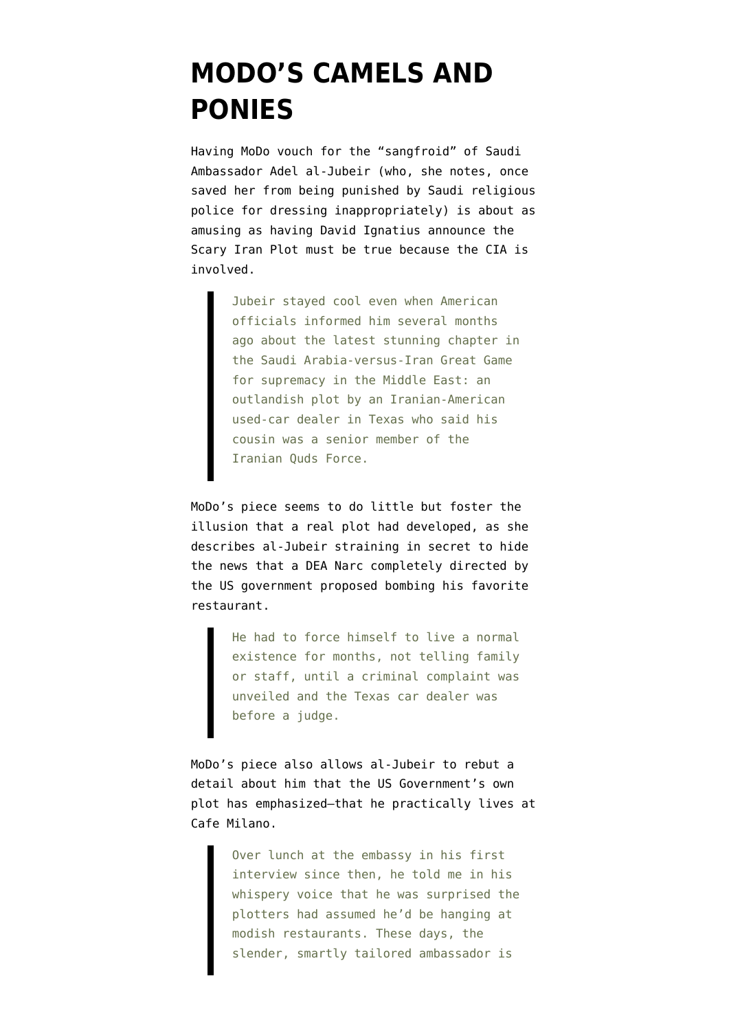## **[MODO'S CAMELS AND](https://www.emptywheel.net/2011/10/24/modos-camels-and-ponies/) [PONIES](https://www.emptywheel.net/2011/10/24/modos-camels-and-ponies/)**

Having MoDo [vouch for the "sangfroid"](https://www.nytimes.com/2011/10/23/opinion/sunday/dowd-the-saudi-ambassador-of-sangfroid.html?_r=1&src=recg) of Saudi Ambassador Adel al-Jubeir (who, she notes, once saved her from being punished by Saudi religious police for dressing inappropriately) is about as amusing as having David Ignatius announce [the](http://www.emptywheel.net/2011/10/14/ignatius-cia-is-involved-with-the-plot-which-makes-everything-true/) [Scary Iran Plot must be true](http://www.emptywheel.net/2011/10/14/ignatius-cia-is-involved-with-the-plot-which-makes-everything-true/) because the CIA is involved.

> Jubeir stayed cool even when American officials informed him several months ago about the latest stunning chapter in the Saudi Arabia-versus-Iran Great Game for supremacy in the Middle East: an outlandish plot by an Iranian-American used-car dealer in Texas who said his cousin was a senior member of the Iranian Quds Force.

MoDo's piece seems to do little but foster the illusion that a real plot had developed, as she describes al-Jubeir straining in secret to hide the news that a DEA Narc completely directed by the US government proposed bombing his favorite restaurant.

> He had to force himself to live a normal existence for months, not telling family or staff, until a criminal complaint was unveiled and the Texas car dealer was before a judge.

MoDo's piece also allows al-Jubeir to rebut a detail about him that the US Government's own plot has emphasized–that [he practically lives at](http://www.washingtonpost.com/blogs/reliable-source/post/iranian-plot-involved-chic-dc-hotspot-could-it-be-cafe-milano/2011/10/11/gIQAWpLYdL_blog.html) [Cafe Milano](http://www.washingtonpost.com/blogs/reliable-source/post/iranian-plot-involved-chic-dc-hotspot-could-it-be-cafe-milano/2011/10/11/gIQAWpLYdL_blog.html).

> Over lunch at the embassy in his first interview since then, he told me in his whispery voice that he was surprised the plotters had assumed he'd be hanging at modish restaurants. These days, the slender, smartly tailored ambassador is